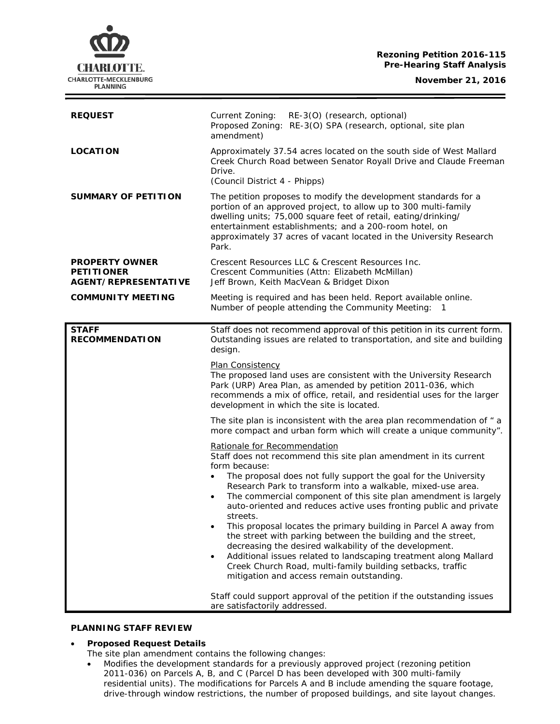#### **Rezoning Petition 2016-115 Pre-Hearing Staff Analysis**

**November 21, 2016**



| <b>REQUEST</b>                                                            | Current Zoning:<br>RE-3(O) (research, optional)<br>Proposed Zoning: RE-3(O) SPA (research, optional, site plan<br>amendment)                                                                                                                                                                                                                                                                                                                                                                                                                                                                                                                                                                                                                                                                                                                                                                                 |
|---------------------------------------------------------------------------|--------------------------------------------------------------------------------------------------------------------------------------------------------------------------------------------------------------------------------------------------------------------------------------------------------------------------------------------------------------------------------------------------------------------------------------------------------------------------------------------------------------------------------------------------------------------------------------------------------------------------------------------------------------------------------------------------------------------------------------------------------------------------------------------------------------------------------------------------------------------------------------------------------------|
| <b>LOCATION</b>                                                           | Approximately 37.54 acres located on the south side of West Mallard<br>Creek Church Road between Senator Royall Drive and Claude Freeman<br>Drive.<br>(Council District 4 - Phipps)                                                                                                                                                                                                                                                                                                                                                                                                                                                                                                                                                                                                                                                                                                                          |
| <b>SUMMARY OF PETITION</b>                                                | The petition proposes to modify the development standards for a<br>portion of an approved project, to allow up to 300 multi-family<br>dwelling units; 75,000 square feet of retail, eating/drinking/<br>entertainment establishments; and a 200-room hotel, on<br>approximately 37 acres of vacant located in the University Research<br>Park.                                                                                                                                                                                                                                                                                                                                                                                                                                                                                                                                                               |
| <b>PROPERTY OWNER</b><br><b>PETITIONER</b><br><b>AGENT/REPRESENTATIVE</b> | Crescent Resources LLC & Crescent Resources Inc.<br>Crescent Communities (Attn: Elizabeth McMillan)<br>Jeff Brown, Keith MacVean & Bridget Dixon                                                                                                                                                                                                                                                                                                                                                                                                                                                                                                                                                                                                                                                                                                                                                             |
| <b>COMMUNITY MEETING</b>                                                  | Meeting is required and has been held. Report available online.<br>Number of people attending the Community Meeting: 1                                                                                                                                                                                                                                                                                                                                                                                                                                                                                                                                                                                                                                                                                                                                                                                       |
| <b>STAFF</b><br><b>RECOMMENDATION</b>                                     | Staff does not recommend approval of this petition in its current form.<br>Outstanding issues are related to transportation, and site and building<br>design.                                                                                                                                                                                                                                                                                                                                                                                                                                                                                                                                                                                                                                                                                                                                                |
|                                                                           | Plan Consistency<br>The proposed land uses are consistent with the University Research<br>Park (URP) Area Plan, as amended by petition 2011-036, which<br>recommends a mix of office, retail, and residential uses for the larger<br>development in which the site is located.                                                                                                                                                                                                                                                                                                                                                                                                                                                                                                                                                                                                                               |
|                                                                           | The site plan is inconsistent with the area plan recommendation of "a<br>more compact and urban form which will create a unique community".                                                                                                                                                                                                                                                                                                                                                                                                                                                                                                                                                                                                                                                                                                                                                                  |
|                                                                           | Rationale for Recommendation<br>Staff does not recommend this site plan amendment in its current<br>form because:<br>The proposal does not fully support the goal for the University<br>Research Park to transform into a walkable, mixed-use area.<br>The commercial component of this site plan amendment is largely<br>auto-oriented and reduces active uses fronting public and private<br>streets.<br>This proposal locates the primary building in Parcel A away from<br>the street with parking between the building and the street,<br>decreasing the desired walkability of the development.<br>Additional issues related to landscaping treatment along Mallard<br>$\bullet$<br>Creek Church Road, multi-family building setbacks, traffic<br>mitigation and access remain outstanding.<br>Staff could support approval of the petition if the outstanding issues<br>are satisfactorily addressed. |

### **PLANNING STAFF REVIEW**

#### • **Proposed Request Details**

The site plan amendment contains the following changes:

• Modifies the development standards for a previously approved project (rezoning petition 2011-036) on Parcels A, B, and C (Parcel D has been developed with 300 multi-family residential units). The modifications for Parcels A and B include amending the square footage, drive-through window restrictions, the number of proposed buildings, and site layout changes.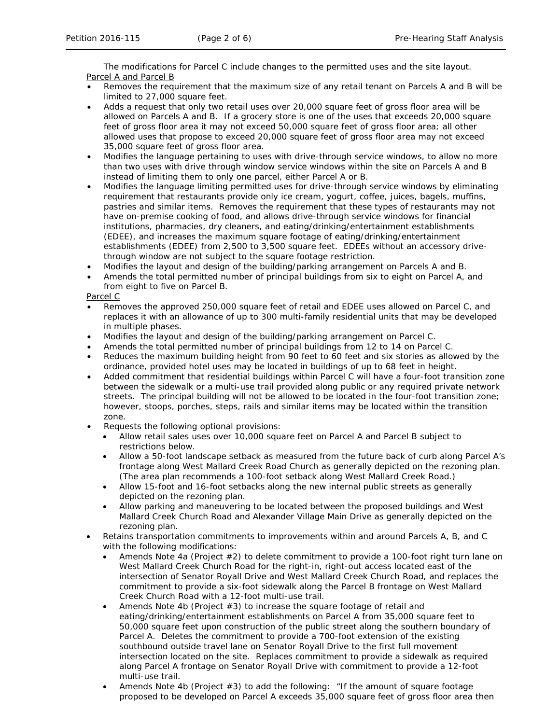The modifications for Parcel C include changes to the permitted uses and the site layout. Parcel A and Parcel B

- Removes the requirement that the maximum size of any retail tenant on Parcels A and B will be limited to 27,000 square feet.
- Adds a request that only two retail uses over 20,000 square feet of gross floor area will be allowed on Parcels A and B. If a grocery store is one of the uses that exceeds 20,000 square feet of gross floor area it may not exceed 50,000 square feet of gross floor area; all other allowed uses that propose to exceed 20,000 square feet of gross floor area may not exceed 35,000 square feet of gross floor area.
- Modifies the language pertaining to uses with drive-through service windows, to allow no more than two uses with drive through window service windows within the site on Parcels A and B instead of limiting them to only one parcel, either Parcel A or B.
- Modifies the language limiting permitted uses for drive-through service windows by eliminating requirement that restaurants provide only ice cream, yogurt, coffee, juices, bagels, muffins, pastries and similar items. Removes the requirement that these types of restaurants may not have on-premise cooking of food, and allows drive-through service windows for financial institutions, pharmacies, dry cleaners, and eating/drinking/entertainment establishments (EDEE), and increases the maximum square footage of eating/drinking/entertainment establishments (EDEE) from 2,500 to 3,500 square feet. EDEEs without an accessory drivethrough window are not subject to the square footage restriction.
- Modifies the layout and design of the building/parking arrangement on Parcels A and B.
- Amends the total permitted number of principal buildings from six to eight on Parcel A, and from eight to five on Parcel B.

Parcel C

- Removes the approved 250,000 square feet of retail and EDEE uses allowed on Parcel C, and replaces it with an allowance of up to 300 multi-family residential units that may be developed in multiple phases.
- Modifies the layout and design of the building/parking arrangement on Parcel C.
- Amends the total permitted number of principal buildings from 12 to 14 on Parcel C.
- Reduces the maximum building height from 90 feet to 60 feet and six stories as allowed by the ordinance, provided hotel uses may be located in buildings of up to 68 feet in height.
- Added commitment that residential buildings within Parcel C will have a four-foot transition zone between the sidewalk or a multi-use trail provided along public or any required private network streets. The principal building will not be allowed to be located in the four-foot transition zone; however, stoops, porches, steps, rails and similar items may be located within the transition zone.
- Requests the following optional provisions:
	- Allow retail sales uses over 10,000 square feet on Parcel A and Parcel B subject to restrictions below.
	- Allow a 50-foot landscape setback as measured from the future back of curb along Parcel A's frontage along West Mallard Creek Road Church as generally depicted on the rezoning plan. (The area plan recommends a 100-foot setback along West Mallard Creek Road.)
	- Allow 15-foot and 16-foot setbacks along the new internal public streets as generally depicted on the rezoning plan.
	- Allow parking and maneuvering to be located between the proposed buildings and West Mallard Creek Church Road and Alexander Village Main Drive as generally depicted on the rezoning plan.
- Retains transportation commitments to improvements within and around Parcels A, B, and C with the following modifications:
	- Amends Note 4a (Project  $#2$ ) to delete commitment to provide a 100-foot right turn lane on West Mallard Creek Church Road for the right-in, right-out access located east of the intersection of Senator Royall Drive and West Mallard Creek Church Road, and replaces the commitment to provide a six-foot sidewalk along the Parcel B frontage on West Mallard Creek Church Road with a 12-foot multi-use trail.
	- Amends Note 4b (Project #3) to increase the square footage of retail and eating/drinking/entertainment establishments on Parcel A from 35,000 square feet to 50,000 square feet upon construction of the public street along the southern boundary of Parcel A. Deletes the commitment to provide a 700-foot extension of the existing southbound outside travel lane on Senator Royall Drive to the first full movement intersection located on the site. Replaces commitment to provide a sidewalk as required along Parcel A frontage on Senator Royall Drive with commitment to provide a 12-foot multi-use trail.
	- Amends Note 4b (Project #3) to add the following: "If the amount of square footage proposed to be developed on Parcel A exceeds 35,000 square feet of gross floor area then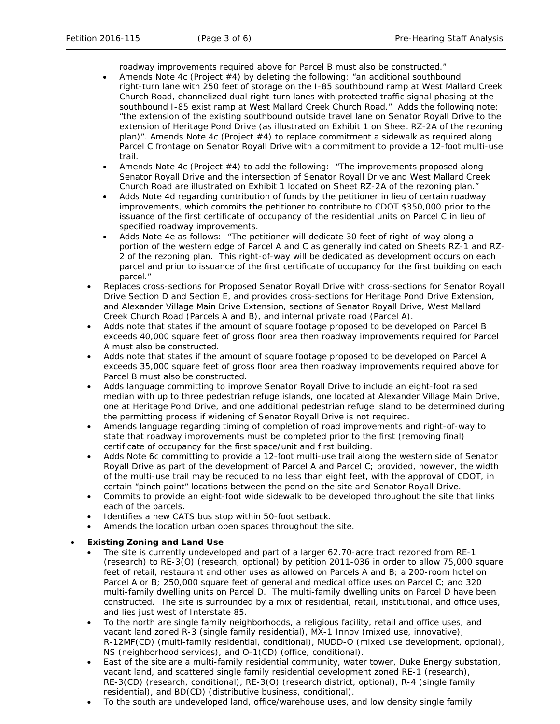roadway improvements required above for Parcel B must also be constructed."

- Amends Note 4c (Project #4) by deleting the following: "an additional southbound right-turn lane with 250 feet of storage on the I-85 southbound ramp at West Mallard Creek Church Road, channelized dual right-turn lanes with protected traffic signal phasing at the southbound I-85 exist ramp at West Mallard Creek Church Road." Adds the following note: "the extension of the existing southbound outside travel lane on Senator Royall Drive to the extension of Heritage Pond Drive (as illustrated on Exhibit 1 on Sheet RZ-2A of the rezoning plan)". Amends Note 4c (Project #4) to replace commitment a sidewalk as required along Parcel C frontage on Senator Royall Drive with a commitment to provide a 12-foot multi-use trail.
- Amends Note 4c (Project #4) to add the following: "The improvements proposed along Senator Royall Drive and the intersection of Senator Royall Drive and West Mallard Creek Church Road are illustrated on Exhibit 1 located on Sheet RZ-2A of the rezoning plan."
- Adds Note 4d regarding contribution of funds by the petitioner in lieu of certain roadway improvements, which commits the petitioner to contribute to CDOT \$350,000 prior to the issuance of the first certificate of occupancy of the residential units on Parcel C in lieu of specified roadway improvements.
- Adds Note 4e as follows: "The petitioner will dedicate 30 feet of right-of-way along a portion of the western edge of Parcel A and C as generally indicated on Sheets RZ-1 and RZ-2 of the rezoning plan. This right-of-way will be dedicated as development occurs on each parcel and prior to issuance of the first certificate of occupancy for the first building on each parcel."
- Replaces cross-sections for Proposed Senator Royall Drive with cross-sections for Senator Royall Drive Section D and Section E, and provides cross-sections for Heritage Pond Drive Extension, and Alexander Village Main Drive Extension, sections of Senator Royall Drive, West Mallard Creek Church Road (Parcels A and B), and internal private road (Parcel A).
- Adds note that states if the amount of square footage proposed to be developed on Parcel B exceeds 40,000 square feet of gross floor area then roadway improvements required for Parcel A must also be constructed.
- Adds note that states if the amount of square footage proposed to be developed on Parcel A exceeds 35,000 square feet of gross floor area then roadway improvements required above for Parcel B must also be constructed.
- Adds language committing to improve Senator Royall Drive to include an eight-foot raised median with up to three pedestrian refuge islands, one located at Alexander Village Main Drive, one at Heritage Pond Drive, and one additional pedestrian refuge island to be determined during the permitting process if widening of Senator Royall Drive is not required.
- Amends language regarding timing of completion of road improvements and right-of-way to state that roadway improvements must be completed prior to the first (removing final) certificate of occupancy for the first space/unit and first building.
- Adds Note 6c committing to provide a 12-foot multi-use trail along the western side of Senator Royall Drive as part of the development of Parcel A and Parcel C; provided, however, the width of the multi-use trail may be reduced to no less than eight feet, with the approval of CDOT, in certain "pinch point" locations between the pond on the site and Senator Royall Drive.
- Commits to provide an eight-foot wide sidewalk to be developed throughout the site that links each of the parcels.
- Identifies a new CATS bus stop within 50-foot setback.
- Amends the location urban open spaces throughout the site.

### • **Existing Zoning and Land Use**

- The site is currently undeveloped and part of a larger 62.70-acre tract rezoned from RE-1 (research) to RE-3(O) (research, optional) by petition 2011-036 in order to allow 75,000 square feet of retail, restaurant and other uses as allowed on Parcels A and B; a 200-room hotel on Parcel A or B; 250,000 square feet of general and medical office uses on Parcel C; and 320 multi-family dwelling units on Parcel D. The multi-family dwelling units on Parcel D have been constructed. The site is surrounded by a mix of residential, retail, institutional, and office uses, and lies just west of Interstate 85.
- To the north are single family neighborhoods, a religious facility, retail and office uses, and vacant land zoned R-3 (single family residential), MX-1 Innov (mixed use, innovative), R-12MF(CD) (multi-family residential, conditional), MUDD-O (mixed use development, optional), NS (neighborhood services), and O-1(CD) (office, conditional).
- East of the site are a multi-family residential community, water tower, Duke Energy substation, vacant land, and scattered single family residential development zoned RE-1 (research), RE-3(CD) (research, conditional), RE-3(O) (research district, optional), R-4 (single family residential), and BD(CD) (distributive business, conditional).
- To the south are undeveloped land, office/warehouse uses, and low density single family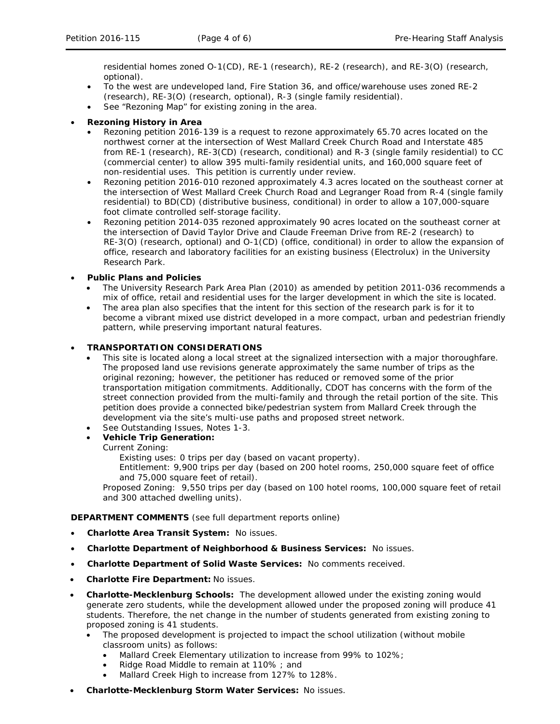residential homes zoned O-1(CD), RE-1 (research), RE-2 (research), and RE-3(O) (research, optional).

- To the west are undeveloped land, Fire Station 36, and office/warehouse uses zoned RE-2 (research), RE-3(O) (research, optional), R-3 (single family residential).
- See "Rezoning Map" for existing zoning in the area.

## • **Rezoning History in Area**

- Rezoning petition 2016-139 is a request to rezone approximately 65.70 acres located on the northwest corner at the intersection of West Mallard Creek Church Road and Interstate 485 from RE-1 (research), RE-3(CD) (research, conditional) and R-3 (single family residential) to CC (commercial center) to allow 395 multi-family residential units, and 160,000 square feet of non-residential uses. This petition is currently under review.
- Rezoning petition 2016-010 rezoned approximately 4.3 acres located on the southeast corner at the intersection of West Mallard Creek Church Road and Legranger Road from R-4 (single family residential) to BD(CD) (distributive business, conditional) in order to allow a 107,000-square foot climate controlled self-storage facility.
- Rezoning petition 2014-035 rezoned approximately 90 acres located on the southeast corner at the intersection of David Taylor Drive and Claude Freeman Drive from RE-2 (research) to RE-3(O) (research, optional) and O-1(CD) (office, conditional) in order to allow the expansion of office, research and laboratory facilities for an existing business (Electrolux) in the University Research Park.

## • **Public Plans and Policies**

- The *University Research Park Area Plan* (2010) as amended by petition 2011-036 recommends a mix of office, retail and residential uses for the larger development in which the site is located.
- The area plan also specifies that the intent for this section of the research park is for it to become a vibrant mixed use district developed in a more compact, urban and pedestrian friendly pattern, while preserving important natural features.

## • **TRANSPORTATION CONSIDERATIONS**

- This site is located along a local street at the signalized intersection with a major thoroughfare. The proposed land use revisions generate approximately the same number of trips as the original rezoning; however, the petitioner has reduced or removed some of the prior transportation mitigation commitments. Additionally, CDOT has concerns with the form of the street connection provided from the multi-family and through the retail portion of the site. This petition does provide a connected bike/pedestrian system from Mallard Creek through the development via the site's multi-use paths and proposed street network.
- See Outstanding Issues, Notes 1-3.

# • **Vehicle Trip Generation:**

Current Zoning:

Existing uses: 0 trips per day (based on vacant property).

Entitlement: 9,900 trips per day (based on 200 hotel rooms, 250,000 square feet of office and 75,000 square feet of retail).

Proposed Zoning: 9,550 trips per day (based on 100 hotel rooms, 100,000 square feet of retail and 300 attached dwelling units).

**DEPARTMENT COMMENTS** (see full department reports online)

- **Charlotte Area Transit System:** No issues.
- **Charlotte Department of Neighborhood & Business Services:** No issues.
- **Charlotte Department of Solid Waste Services:** No comments received.
- **Charlotte Fire Department:** No issues.
- **Charlotte-Mecklenburg Schools:** The development allowed under the existing zoning would generate zero students, while the development allowed under the proposed zoning will produce 41 students. Therefore, the net change in the number of students generated from existing zoning to proposed zoning is 41 students.
	- The proposed development is projected to impact the school utilization (without mobile classroom units) as follows:
		- Mallard Creek Elementary utilization to increase from 99% to 102%;
		- Ridge Road Middle to remain at 110% ; and
		- Mallard Creek High to increase from 127% to 128%.
- **Charlotte-Mecklenburg Storm Water Services:** No issues.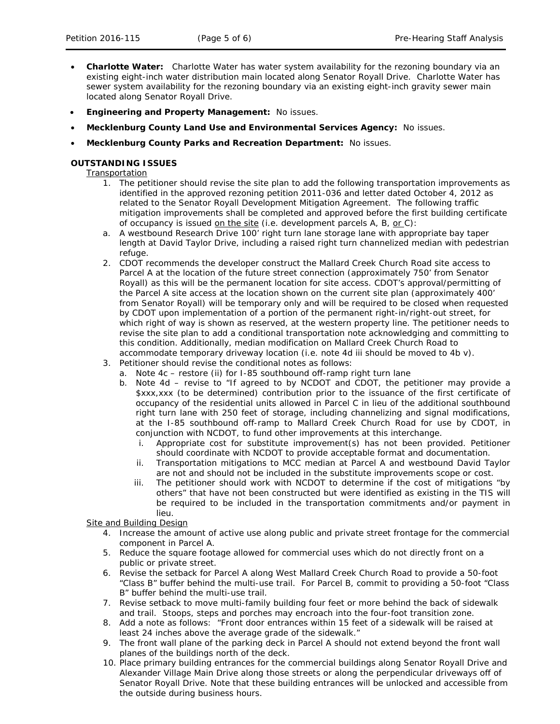- **Charlotte Water:** Charlotte Water has water system availability for the rezoning boundary via an existing eight-inch water distribution main located along Senator Royall Drive. Charlotte Water has sewer system availability for the rezoning boundary via an existing eight-inch gravity sewer main located along Senator Royall Drive.
- **Engineering and Property Management:** No issues.
- **Mecklenburg County Land Use and Environmental Services Agency:** No issues.
- **Mecklenburg County Parks and Recreation Department:** No issues.

### **OUTSTANDING ISSUES**

**Transportation** 

- 1. The petitioner should revise the site plan to add the following transportation improvements as identified in the approved rezoning petition 2011-036 and letter dated October 4, 2012 as related to the Senator Royall Development Mitigation Agreement. The following traffic mitigation improvements shall be completed and approved before the first building certificate of occupancy is issued on the site (i.e. development parcels A, B, *or* C):
- a. A westbound Research Drive 100' right turn lane storage lane with appropriate bay taper length at David Taylor Drive, including a raised right turn channelized median with pedestrian refuge.
- 2. CDOT recommends the developer construct the Mallard Creek Church Road site access to Parcel A at the location of the future street connection (approximately 750' from Senator Royall) as this will be the permanent location for site access. CDOT's approval/permitting of the Parcel A site access at the location shown on the current site plan (approximately 400' from Senator Royall) will be temporary only and will be required to be closed when requested by CDOT upon implementation of a portion of the permanent right-in/right-out street, for which right of way is shown as reserved, at the western property line. The petitioner needs to revise the site plan to add a conditional transportation note acknowledging and committing to this condition. Additionally, median modification on Mallard Creek Church Road to accommodate temporary driveway location (i.e. note 4d iii should be moved to 4b v).
- 3. Petitioner should revise the conditional notes as follows:
	- a. Note 4c restore (ii) for I-85 southbound off-ramp right turn lane
	- b. Note 4d revise to "If agreed to by NCDOT and CDOT, the petitioner may provide a \$xxx,xxx (to be determined) contribution prior to the issuance of the first certificate of occupancy of the residential units allowed in Parcel C in lieu of the additional southbound right turn lane with 250 feet of storage, including channelizing and signal modifications, at the I-85 southbound off-ramp to Mallard Creek Church Road for use by CDOT, in conjunction with NCDOT, to fund other improvements at this interchange.
		- i. Appropriate cost for substitute improvement(s) has not been provided. Petitioner should coordinate with NCDOT to provide acceptable format and documentation.
		- ii. Transportation mitigations to MCC median at Parcel A and westbound David Taylor are not and should not be included in the substitute improvements scope or cost.
		- iii. The petitioner should work with NCDOT to determine if the cost of mitigations "by others" that have not been constructed but were identified as existing in the TIS will be required to be included in the transportation commitments and/or payment in lieu.

### **Site and Building Design**

- 4. Increase the amount of active use along public and private street frontage for the commercial component in Parcel A.
- 5. Reduce the square footage allowed for commercial uses which do not directly front on a public or private street.
- 6. Revise the setback for Parcel A along West Mallard Creek Church Road to provide a 50-foot "Class B" buffer behind the multi-use trail. For Parcel B, commit to providing a 50-foot "Class B" buffer behind the multi-use trail.
- 7. Revise setback to move multi-family building four feet or more behind the back of sidewalk and trail. Stoops, steps and porches may encroach into the four-foot transition zone.
- 8. Add a note as follows: "Front door entrances within 15 feet of a sidewalk will be raised at least 24 inches above the average grade of the sidewalk."
- 9. The front wall plane of the parking deck in Parcel A should not extend beyond the front wall planes of the buildings north of the deck.
- 10. Place primary building entrances for the commercial buildings along Senator Royall Drive and Alexander Village Main Drive along those streets or along the perpendicular driveways off of Senator Royall Drive. Note that these building entrances will be unlocked and accessible from the outside during business hours.